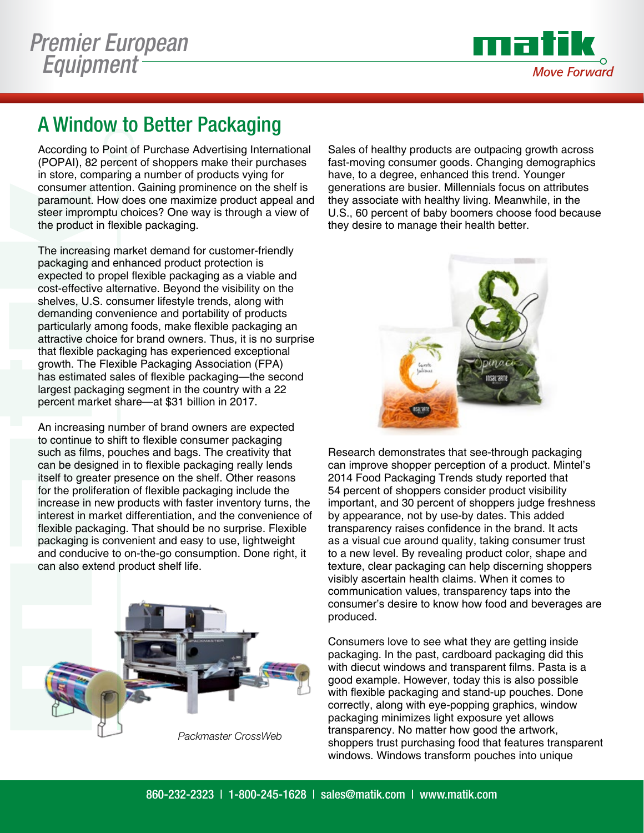

## A Window to Better Packaging

According to Point of Purchase Advertising International (POPAI), 82 percent of shoppers make their purchases in store, comparing a number of products vying for consumer attention. Gaining prominence on the shelf is paramount. How does one maximize product appeal and steer impromptu choices? One way is through a view of the product in flexible packaging.

The increasing market demand for customer-friendly packaging and enhanced product protection is expected to propel flexible packaging as a viable and cost-effective alternative. Beyond the visibility on the shelves, U.S. consumer lifestyle trends, along with demanding convenience and portability of products particularly among foods, make flexible packaging an attractive choice for brand owners. Thus, it is no surprise that flexible packaging has experienced exceptional growth. The Flexible Packaging Association (FPA) has estimated sales of flexible packaging—the second largest packaging segment in the country with a 22 percent market share—at \$31 billion in 2017.

An increasing number of brand owners are expected to continue to shift to flexible consumer packaging such as films, pouches and bags. The creativity that can be designed in to flexible packaging really lends itself to greater presence on the shelf. Other reasons for the proliferation of flexible packaging include the increase in new products with faster inventory turns, the interest in market differentiation, and the convenience of flexible packaging. That should be no surprise. Flexible packaging is convenient and easy to use, lightweight and conducive to on-the-go consumption. Done right, it can also extend product shelf life.



*Packmaster CrossWeb*

Sales of healthy products are outpacing growth across fast-moving consumer goods. Changing demographics have, to a degree, enhanced this trend. Younger generations are busier. Millennials focus on attributes they associate with healthy living. Meanwhile, in the U.S., 60 percent of baby boomers choose food because they desire to manage their health better.



Research demonstrates that see-through packaging can improve shopper perception of a product. Mintel's 2014 Food Packaging Trends study reported that 54 percent of shoppers consider product visibility important, and 30 percent of shoppers judge freshness by appearance, not by use-by dates. This added transparency raises confidence in the brand. It acts as a visual cue around quality, taking consumer trust to a new level. By revealing product color, shape and texture, clear packaging can help discerning shoppers visibly ascertain health claims. When it comes to communication values, transparency taps into the consumer's desire to know how food and beverages are produced.

Consumers love to see what they are getting inside packaging. In the past, cardboard packaging did this with diecut windows and transparent films. Pasta is a good example. However, today this is also possible with flexible packaging and stand-up pouches. Done correctly, along with eye-popping graphics, window packaging minimizes light exposure yet allows transparency. No matter how good the artwork, shoppers trust purchasing food that features transparent windows. Windows transform pouches into unique